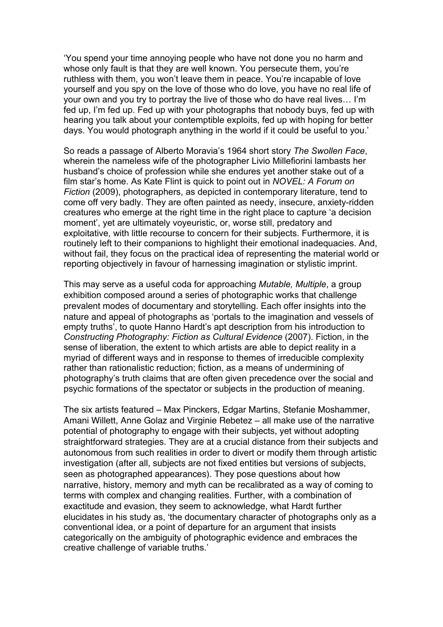'You spend your time annoying people who have not done you no harm and whose only fault is that they are well known. You persecute them, you're ruthless with them, you won't leave them in peace. You're incapable of love yourself and you spy on the love of those who do love, you have no real life of your own and you try to portray the live of those who do have real lives… I'm fed up, I'm fed up. Fed up with your photographs that nobody buys, fed up with hearing you talk about your contemptible exploits, fed up with hoping for better days. You would photograph anything in the world if it could be useful to you.'

So reads a passage of Alberto Moravia's 1964 short story *The Swollen Face*, wherein the nameless wife of the photographer Livio Millefiorini lambasts her husband's choice of profession while she endures yet another stake out of a film star's home. As Kate Flint is quick to point out in *NOVEL: A Forum on Fiction* (2009), photographers, as depicted in contemporary literature, tend to come off very badly. They are often painted as needy, insecure, anxiety-ridden creatures who emerge at the right time in the right place to capture 'a decision moment', yet are ultimately voyeuristic, or, worse still, predatory and exploitative, with little recourse to concern for their subjects. Furthermore, it is routinely left to their companions to highlight their emotional inadequacies. And, without fail, they focus on the practical idea of representing the material world or reporting objectively in favour of harnessing imagination or stylistic imprint.

This may serve as a useful coda for approaching *Mutable, Multiple*, a group exhibition composed around a series of photographic works that challenge prevalent modes of documentary and storytelling. Each offer insights into the nature and appeal of photographs as 'portals to the imagination and vessels of empty truths', to quote Hanno Hardt's apt description from his introduction to *Constructing Photography: Fiction as Cultural Evidence* (2007). Fiction, in the sense of liberation, the extent to which artists are able to depict reality in a myriad of different ways and in response to themes of irreducible complexity rather than rationalistic reduction; fiction, as a means of undermining of photography's truth claims that are often given precedence over the social and psychic formations of the spectator or subjects in the production of meaning.

The six artists featured – Max Pinckers, Edgar Martins, Stefanie Moshammer, Amani Willett, Anne Golaz and Virginie Rebetez – all make use of the narrative potential of photography to engage with their subjects, yet without adopting straightforward strategies. They are at a crucial distance from their subjects and autonomous from such realities in order to divert or modify them through artistic investigation (after all, subjects are not fixed entities but versions of subjects, seen as photographed appearances). They pose questions about how narrative, history, memory and myth can be recalibrated as a way of coming to terms with complex and changing realities. Further, with a combination of exactitude and evasion, they seem to acknowledge, what Hardt further elucidates in his study as, 'the documentary character of photographs only as a conventional idea, or a point of departure for an argument that insists categorically on the ambiguity of photographic evidence and embraces the creative challenge of variable truths.'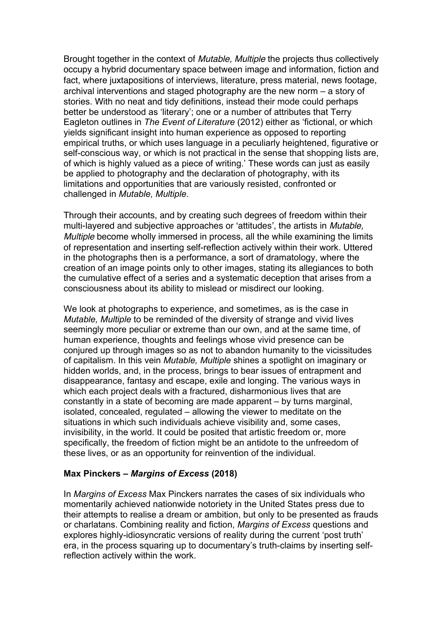Brought together in the context of *Mutable, Multiple* the projects thus collectively occupy a hybrid documentary space between image and information, fiction and fact, where juxtapositions of interviews, literature, press material, news footage, archival interventions and staged photography are the new norm – a story of stories. With no neat and tidy definitions, instead their mode could perhaps better be understood as 'literary'; one or a number of attributes that Terry Eagleton outlines in *The Event of Literature* (2012) either as 'fictional, or which yields significant insight into human experience as opposed to reporting empirical truths, or which uses language in a peculiarly heightened, figurative or self-conscious way, or which is not practical in the sense that shopping lists are, of which is highly valued as a piece of writing.' These words can just as easily be applied to photography and the declaration of photography, with its limitations and opportunities that are variously resisted, confronted or challenged in *Mutable, Multiple*.

Through their accounts, and by creating such degrees of freedom within their multi-layered and subjective approaches or 'attitudes', the artists in *Mutable, Multiple* become wholly immersed in process, all the while examining the limits of representation and inserting self-reflection actively within their work. Uttered in the photographs then is a performance, a sort of dramatology, where the creation of an image points only to other images, stating its allegiances to both the cumulative effect of a series and a systematic deception that arises from a consciousness about its ability to mislead or misdirect our looking.

We look at photographs to experience, and sometimes, as is the case in *Mutable, Multiple* to be reminded of the diversity of strange and vivid lives seemingly more peculiar or extreme than our own, and at the same time, of human experience, thoughts and feelings whose vivid presence can be conjured up through images so as not to abandon humanity to the vicissitudes of capitalism. In this vein *Mutable, Multiple* shines a spotlight on imaginary or hidden worlds, and, in the process, brings to bear issues of entrapment and disappearance, fantasy and escape, exile and longing. The various ways in which each project deals with a fractured, disharmonious lives that are constantly in a state of becoming are made apparent – by turns marginal, isolated, concealed, regulated – allowing the viewer to meditate on the situations in which such individuals achieve visibility and, some cases, invisibility, in the world. It could be posited that artistic freedom or, more specifically, the freedom of fiction might be an antidote to the unfreedom of these lives, or as an opportunity for reinvention of the individual.

#### **Max Pinckers –** *Margins of Excess* **(2018)**

In *Margins of Excess* Max Pinckers narrates the cases of six individuals who momentarily achieved nationwide notoriety in the United States press due to their attempts to realise a dream or ambition, but only to be presented as frauds or charlatans. Combining reality and fiction, *Margins of Excess* questions and explores highly-idiosyncratic versions of reality during the current 'post truth' era, in the process squaring up to documentary's truth-claims by inserting selfreflection actively within the work.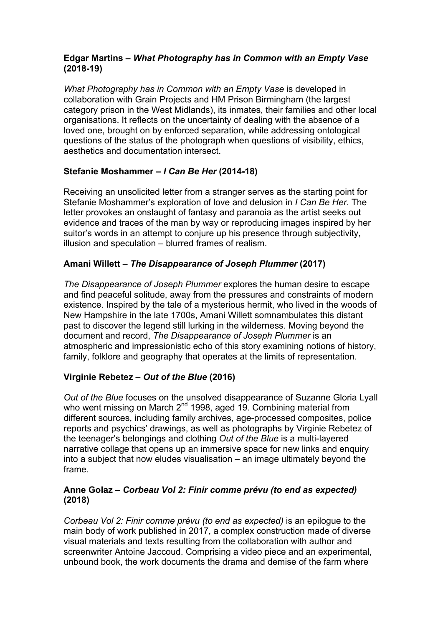### **Edgar Martins –** *What Photography has in Common with an Empty Vase* **(2018-19)**

*What Photography has in Common with an Empty Vase is developed in* collaboration with Grain Projects and HM Prison Birmingham (the largest category prison in the West Midlands), its inmates, their families and other local organisations. It reflects on the uncertainty of dealing with the absence of a loved one, brought on by enforced separation, while addressing ontological questions of the status of the photograph when questions of visibility, ethics, aesthetics and documentation intersect.

# **Stefanie Moshammer –** *I Can Be Her* **(2014-18)**

Receiving an unsolicited letter from a stranger serves as the starting point for Stefanie Moshammer's exploration of love and delusion in *I Can Be Her*. The letter provokes an onslaught of fantasy and paranoia as the artist seeks out evidence and traces of the man by way or reproducing images inspired by her suitor's words in an attempt to conjure up his presence through subjectivity, illusion and speculation – blurred frames of realism.

# **Amani Willett –** *The Disappearance of Joseph Plummer* **(2017)**

*The Disappearance of Joseph Plummer* explores the human desire to escape and find peaceful solitude, away from the pressures and constraints of modern existence. Inspired by the tale of a mysterious hermit, who lived in the woods of New Hampshire in the late 1700s, Amani Willett somnambulates this distant past to discover the legend still lurking in the wilderness. Moving beyond the document and record, *The Disappearance of Joseph Plummer* is an atmospheric and impressionistic echo of this story examining notions of history, family, folklore and geography that operates at the limits of representation.

# **Virginie Rebetez –** *Out of the Blue* **(2016)**

*Out of the Blue* focuses on the unsolved disappearance of Suzanne Gloria Lyall who went missing on March 2<sup>nd</sup> 1998, aged 19. Combining material from different sources, including family archives, age-processed composites, police reports and psychics' drawings, as well as photographs by Virginie Rebetez of the teenager's belongings and clothing *Out of the Blue* is a multi-layered narrative collage that opens up an immersive space for new links and enquiry into a subject that now eludes visualisation – an image ultimately beyond the frame.

### **Anne Golaz –** *Corbeau Vol 2: Finir comme prévu (to end as expected)* **(2018)**

*Corbeau Vol 2: Finir comme prévu (to end as expected)* is an epilogue to the main body of work published in 2017, a complex construction made of diverse visual materials and texts resulting from the collaboration with author and screenwriter Antoine Jaccoud. Comprising a video piece and an experimental, unbound book, the work documents the drama and demise of the farm where